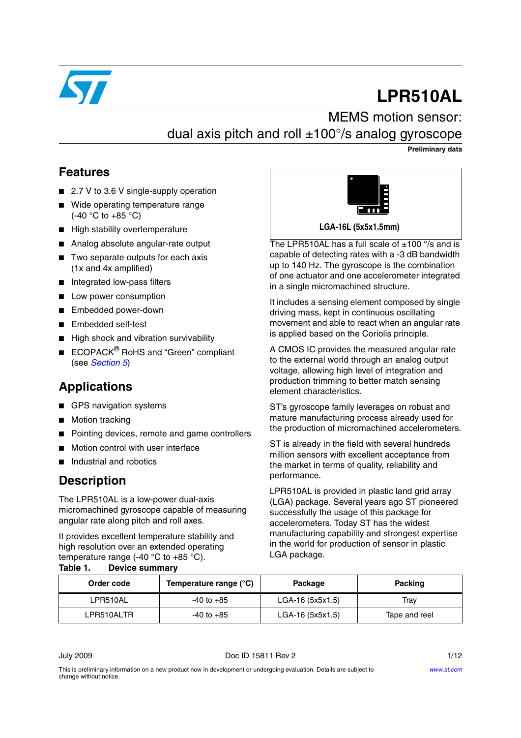

# **LPR510AL**

# MEMS motion sensor: dual axis pitch and roll  $\pm 100^{\circ}/s$  analog gyroscope

**Preliminary data**

#### **Features**

- 2.7 V to 3.6 V single-supply operation
- Wide operating temperature range (-40 °C to +85 °C)
- High stability overtemperature
- Analog absolute angular-rate output
- Two separate outputs for each axis (1x and 4x amplified)
- Integrated low-pass filters
- Low power consumption
- Embedded power-down
- Embedded self-test
- High shock and vibration survivability
- ECOPACK<sup>®</sup> RoHS and "Green" compliant (see *[Section 5](#page-9-0)*)

# **Applications**

- GPS navigation systems
- Motion tracking
- Pointing devices, remote and game controllers
- Motion control with user interface
- Industrial and robotics

#### **Description**

The LPR510AL is a low-power dual-axis micromachined gyroscope capable of measuring angular rate along pitch and roll axes.

It provides excellent temperature stability and high resolution over an extended operating temperature range (-40  $^{\circ}$ C to +85  $^{\circ}$ C). **Table 1. Device summary**



**LGA-16L (5x5x1.5mm)**

The LPR510AL has a full scale of  $\pm 100$  °/s and is capable of detecting rates with a -3 dB bandwidth up to 140 Hz. The gyroscope is the combination of one actuator and one accelerometer integrated in a single micromachined structure.

It includes a sensing element composed by single driving mass, kept in continuous oscillating movement and able to react when an angular rate is applied based on the Coriolis principle.

A CMOS IC provides the measured angular rate to the external world through an analog output voltage, allowing high level of integration and production trimming to better match sensing element characteristics.

ST's gyroscope family leverages on robust and mature manufacturing process already used for the production of micromachined accelerometers.

ST is already in the field with several hundreds million sensors with excellent acceptance from the market in terms of quality, reliability and performance.

LPR510AL is provided in plastic land grid array (LGA) package. Several years ago ST pioneered successfully the usage of this package for accelerometers. Today ST has the widest manufacturing capability and strongest expertise in the world for production of sensor in plastic LGA package.

| Order code | Temperature range (°C) | Package           | Packing       |
|------------|------------------------|-------------------|---------------|
| LPR510AL   | -40 to +85             | LGA-16 (5x5x1.5)  | Trav          |
| LPR510ALTR | $-40$ to $+85$         | $LGA-16(5x5x1.5)$ | Tape and reel |

July 2009 Doc ID 15811 Rev 2 1/12

This is preliminary information on a new product now in development or undergoing evaluation. Details are subject to change without notice.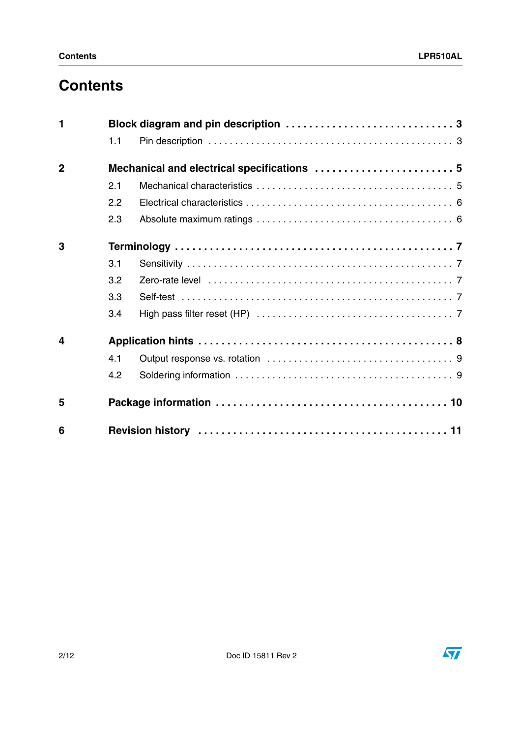# **Contents**

| 1              |     |                                             |  |  |  |
|----------------|-----|---------------------------------------------|--|--|--|
|                | 1.1 |                                             |  |  |  |
| $\overline{2}$ |     | Mechanical and electrical specifications  5 |  |  |  |
|                | 2.1 |                                             |  |  |  |
|                | 2.2 |                                             |  |  |  |
|                | 2.3 |                                             |  |  |  |
| 3              |     |                                             |  |  |  |
|                | 3.1 |                                             |  |  |  |
|                | 3.2 |                                             |  |  |  |
|                | 3.3 |                                             |  |  |  |
|                | 3.4 |                                             |  |  |  |
| 4              |     |                                             |  |  |  |
|                | 4.1 |                                             |  |  |  |
|                | 4.2 |                                             |  |  |  |
| 5              |     |                                             |  |  |  |
| 6              |     |                                             |  |  |  |

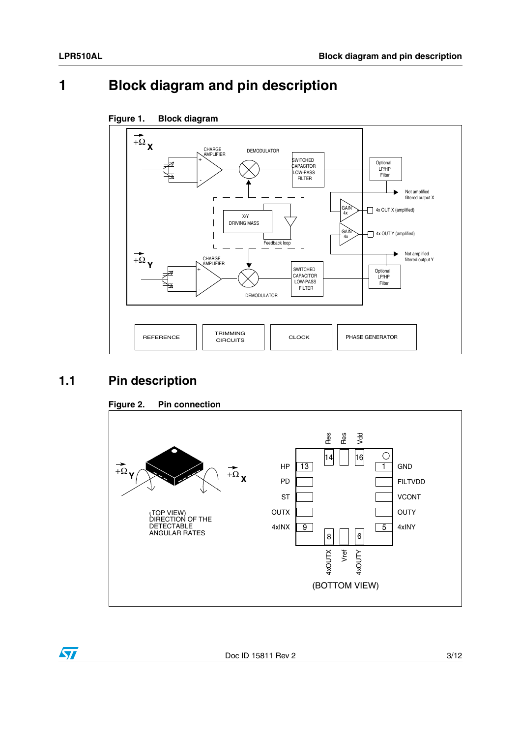# <span id="page-2-0"></span>**1 Block diagram and pin description**



#### **Figure 1. Block diagram**

### <span id="page-2-1"></span>**1.1 Pin description**





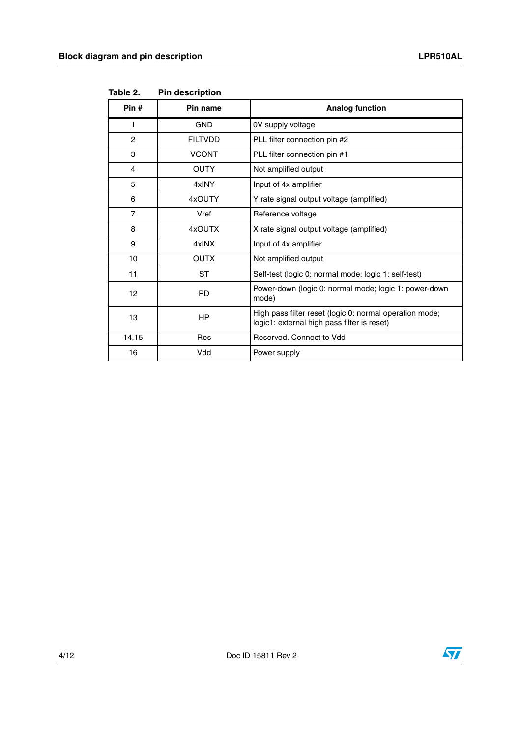| Pin #          | Pin name       | <b>Analog function</b>                                                                                 |
|----------------|----------------|--------------------------------------------------------------------------------------------------------|
| 1              | <b>GND</b>     | 0V supply voltage                                                                                      |
| $\overline{c}$ | <b>FILTVDD</b> | PLL filter connection pin #2                                                                           |
| 3              | <b>VCONT</b>   | PLL filter connection pin #1                                                                           |
| 4              | <b>OUTY</b>    | Not amplified output                                                                                   |
| 5              | 4xINY          | Input of 4x amplifier                                                                                  |
| 6              | 4xOUTY         | Y rate signal output voltage (amplified)                                                               |
| 7              | Vref           | Reference voltage                                                                                      |
| 8              | 4xOUTX         | X rate signal output voltage (amplified)                                                               |
| 9              | 4xINX          | Input of 4x amplifier                                                                                  |
| 10             | <b>OUTX</b>    | Not amplified output                                                                                   |
| 11             | ST             | Self-test (logic 0: normal mode; logic 1: self-test)                                                   |
| 12             | <b>PD</b>      | Power-down (logic 0: normal mode; logic 1: power-down<br>mode)                                         |
| 13             | <b>HP</b>      | High pass filter reset (logic 0: normal operation mode;<br>logic1: external high pass filter is reset) |
| 14,15          | Res            | Reserved, Connect to Vdd                                                                               |
| 16             | Vdd            | Power supply                                                                                           |

**Table 2. Pin description**

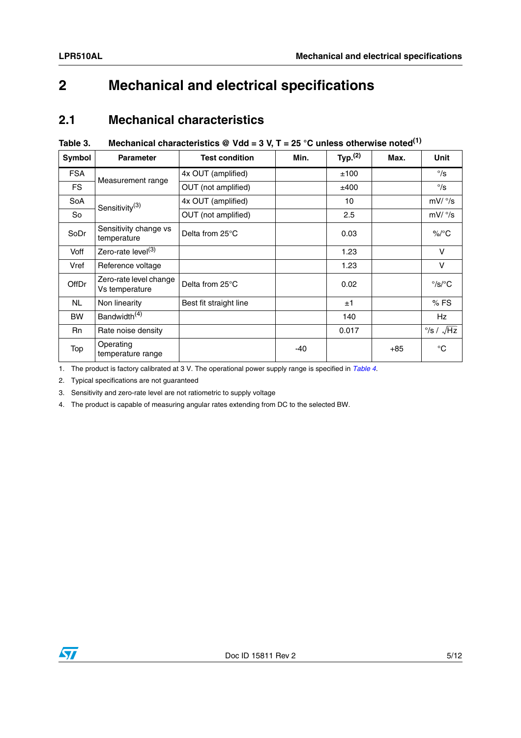# <span id="page-4-0"></span>**2 Mechanical and electrical specifications**

#### <span id="page-4-1"></span>**2.1 Mechanical characteristics**

#### <span id="page-4-2"></span>**Table 3. Mechanical characteristics @ Vdd = 3 V, T = 25 °C unless otherwise noted(1)**

| <b>Symbol</b> | <b>Parameter</b>                         | <b>Test condition</b>  | Min.  | Typ. <sup>(2)</sup> | Max.  | <b>Unit</b>                     |
|---------------|------------------------------------------|------------------------|-------|---------------------|-------|---------------------------------|
| <b>FSA</b>    | Measurement range                        | 4x OUT (amplified)     |       | ±100                |       | $^{\circ}/s$                    |
| FS.           |                                          | OUT (not amplified)    |       | ±400                |       | $\degree$ /s                    |
| <b>SoA</b>    | Sensitivity <sup>(3)</sup>               | 4x OUT (amplified)     |       | 10                  |       | mV/°/s                          |
| So            |                                          | OUT (not amplified)    |       | 2.5                 |       | mV/°/s                          |
| SoDr          | Sensitivity change vs<br>temperature     | Delta from 25°C        |       | 0.03                |       | $\%$ /°C                        |
| Voff          | Zero-rate level <sup>(3)</sup>           |                        |       | 1.23                |       | V                               |
| Vref          | Reference voltage                        |                        |       | 1.23                |       | V                               |
| <b>OffDr</b>  | Zero-rate level change<br>Vs temperature | Delta from 25°C        |       | 0.02                |       | $\degree$ /s/ $\degree$ C       |
| NL.           | Non linearity                            | Best fit straight line |       | ±1                  |       | $%$ FS                          |
| <b>BW</b>     | Bandwidth <sup>(4)</sup>                 |                        |       | 140                 |       | Hz                              |
| <b>Rn</b>     | Rate noise density                       |                        |       | 0.017               |       | $\frac{\circ}{s}$ / $\sqrt{Hz}$ |
| Top           | Operating<br>temperature range           |                        | $-40$ |                     | $+85$ | $^{\circ}$ C                    |

1. The product is factory calibrated at 3 V. The operational power supply range is specified in *[Table 4](#page-5-2)*.

2. Typical specifications are not guaranteed

3. Sensitivity and zero-rate level are not ratiometric to supply voltage

4. The product is capable of measuring angular rates extending from DC to the selected BW.

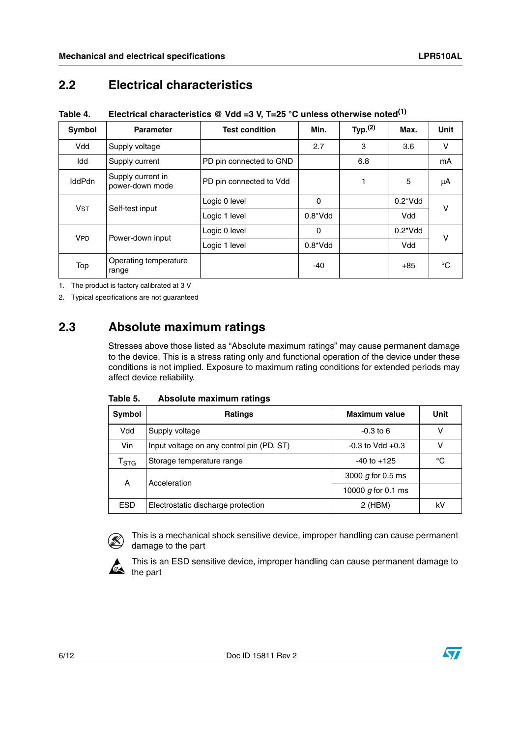# <span id="page-5-0"></span>**2.2 Electrical characteristics**

<span id="page-5-2"></span>**Table 4. Electrical characteristics @ Vdd =3 V, T=25 °C unless otherwise noted(1)**

| Symbol                | <b>Parameter</b>                     | <b>Test condition</b>   | Min.        | Typ. <sup>(2)</sup> | Max.             | <b>Unit</b> |  |
|-----------------------|--------------------------------------|-------------------------|-------------|---------------------|------------------|-------------|--|
| Vdd                   | Supply voltage                       |                         | 2.7         | 3                   | 3.6              | v           |  |
| Idd                   | Supply current                       | PD pin connected to GND |             | 6.8                 |                  | mA          |  |
| <b>IddPdn</b>         | Supply current in<br>power-down mode | PD pin connected to Vdd |             |                     | 5                | μA          |  |
| <b>V<sub>ST</sub></b> | Self-test input                      | Logic 0 level           | 0           |                     | $0.2^{\ast}$ Vdd | v           |  |
|                       |                                      | Logic 1 level           | $0.8^*V$ dd |                     | Vdd              |             |  |
| <b>VPD</b>            | Power-down input                     | Logic 0 level           | 0           |                     | $0.2^{\ast}$ Vdd | v           |  |
|                       |                                      | Logic 1 level           | $0.8^*V$ dd |                     | Vdd              |             |  |
| Top                   | Operating temperature<br>range       |                         | -40         |                     | $+85$            | °C          |  |

1. The product is factory calibrated at 3 V

2. Typical specifications are not guaranteed

### <span id="page-5-1"></span>**2.3 Absolute maximum ratings**

Stresses above those listed as "Absolute maximum ratings" may cause permanent damage to the device. This is a stress rating only and functional operation of the device under these conditions is not implied. Exposure to maximum rating conditions for extended periods may affect device reliability.

| Table 5. | Absolute maximum ratings |  |
|----------|--------------------------|--|
|          |                          |  |

| Symbol                      | <b>Ratings</b>                            | <b>Maximum value</b> | Unit |
|-----------------------------|-------------------------------------------|----------------------|------|
| Vdd                         | Supply voltage                            | $-0.3$ to 6          | V    |
| Vin                         | Input voltage on any control pin (PD, ST) | $-0.3$ to Vdd $+0.3$ | ν    |
| $\mathsf{r}_{\texttt{STG}}$ | Storage temperature range                 | $-40$ to $+125$      | °C   |
| A                           | Acceleration                              | 3000 $q$ for 0.5 ms  |      |
|                             |                                           | 10000 g for 0.1 ms   |      |
| <b>ESD</b>                  | Electrostatic discharge protection        | 2 (HBM)              | k٧   |



This is a mechanical shock sensitive device, improper handling can cause permanent damage to the part



This is an ESD sensitive device, improper handling can cause permanent damage to the part

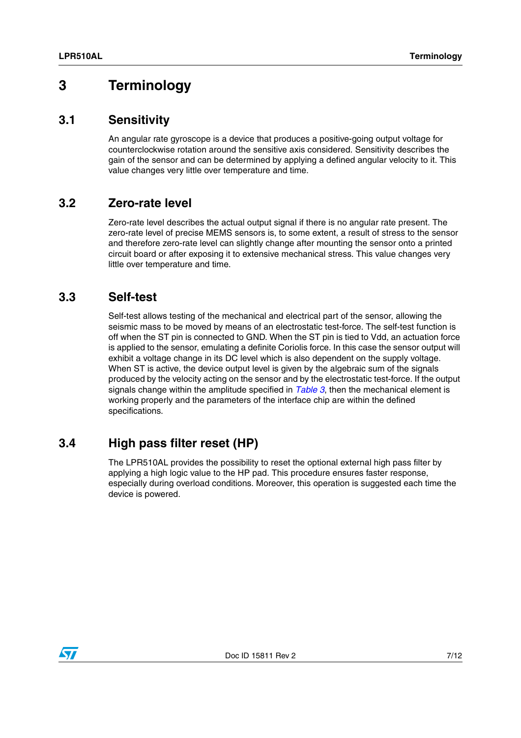# <span id="page-6-0"></span>**3 Terminology**

#### <span id="page-6-1"></span>**3.1 Sensitivity**

An angular rate gyroscope is a device that produces a positive-going output voltage for counterclockwise rotation around the sensitive axis considered. Sensitivity describes the gain of the sensor and can be determined by applying a defined angular velocity to it. This value changes very little over temperature and time.

#### <span id="page-6-2"></span>**3.2 Zero-rate level**

Zero-rate level describes the actual output signal if there is no angular rate present. The zero-rate level of precise MEMS sensors is, to some extent, a result of stress to the sensor and therefore zero-rate level can slightly change after mounting the sensor onto a printed circuit board or after exposing it to extensive mechanical stress. This value changes very little over temperature and time.

#### <span id="page-6-3"></span>**3.3 Self-test**

Self-test allows testing of the mechanical and electrical part of the sensor, allowing the seismic mass to be moved by means of an electrostatic test-force. The self-test function is off when the ST pin is connected to GND. When the ST pin is tied to Vdd, an actuation force is applied to the sensor, emulating a definite Coriolis force. In this case the sensor output will exhibit a voltage change in its DC level which is also dependent on the supply voltage. When ST is active, the device output level is given by the algebraic sum of the signals produced by the velocity acting on the sensor and by the electrostatic test-force. If the output signals change within the amplitude specified in *[Table 3](#page-4-2)*, then the mechanical element is working properly and the parameters of the interface chip are within the defined specifications.

# <span id="page-6-4"></span>**3.4 High pass filter reset (HP)**

The LPR510AL provides the possibility to reset the optional external high pass filter by applying a high logic value to the HP pad. This procedure ensures faster response, especially during overload conditions. Moreover, this operation is suggested each time the device is powered.

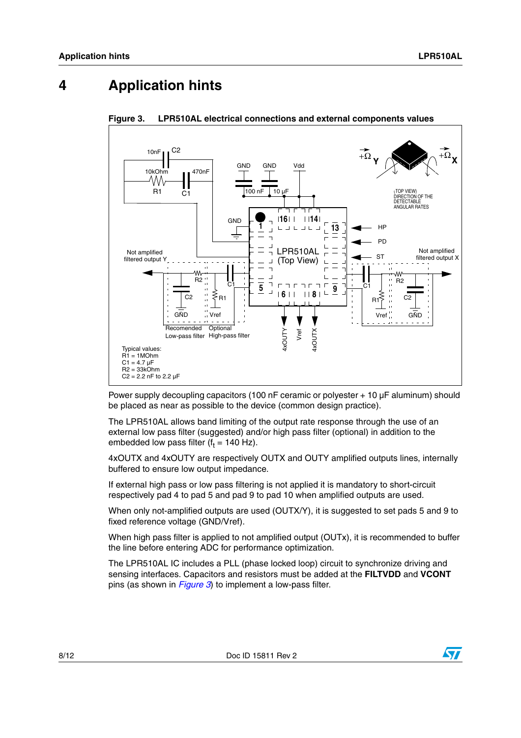# <span id="page-7-0"></span>**4 Application hints**



<span id="page-7-1"></span>**Figure 3. LPR510AL electrical connections and external components values**

Power supply decoupling capacitors (100 nF ceramic or polyester + 10 µF aluminum) should be placed as near as possible to the device (common design practice).

The LPR510AL allows band limiting of the output rate response through the use of an external low pass filter (suggested) and/or high pass filter (optional) in addition to the embedded low pass filter (f $_{\rm t}$  = 140 Hz).

4xOUTX and 4xOUTY are respectively OUTX and OUTY amplified outputs lines, internally buffered to ensure low output impedance.

If external high pass or low pass filtering is not applied it is mandatory to short-circuit respectively pad 4 to pad 5 and pad 9 to pad 10 when amplified outputs are used.

When only not-amplified outputs are used (OUTX/Y), it is suggested to set pads 5 and 9 to fixed reference voltage (GND/Vref).

When high pass filter is applied to not amplified output (OUTx), it is recommended to buffer the line before entering ADC for performance optimization.

The LPR510AL IC includes a PLL (phase locked loop) circuit to synchronize driving and sensing interfaces. Capacitors and resistors must be added at the **FILTVDD** and **VCONT** pins (as shown in *[Figure 3](#page-7-1)*) to implement a low-pass filter.

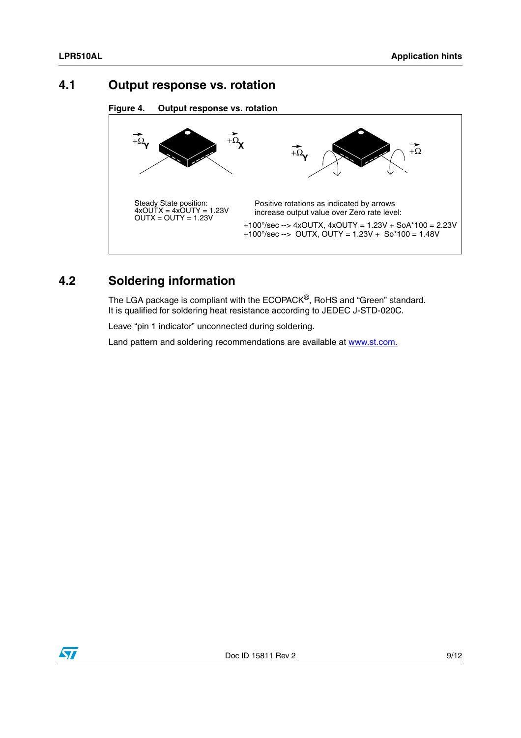#### <span id="page-8-0"></span>**4.1 Output response vs. rotation**





# <span id="page-8-1"></span>**4.2 Soldering information**

The LGA package is compliant with the ECOPACK®, RoHS and "Green" standard. It is qualified for soldering heat resistance according to JEDEC J-STD-020C.

Leave "pin 1 indicator" unconnected during soldering.

Land pattern and soldering recommendations are available at www.st.com.

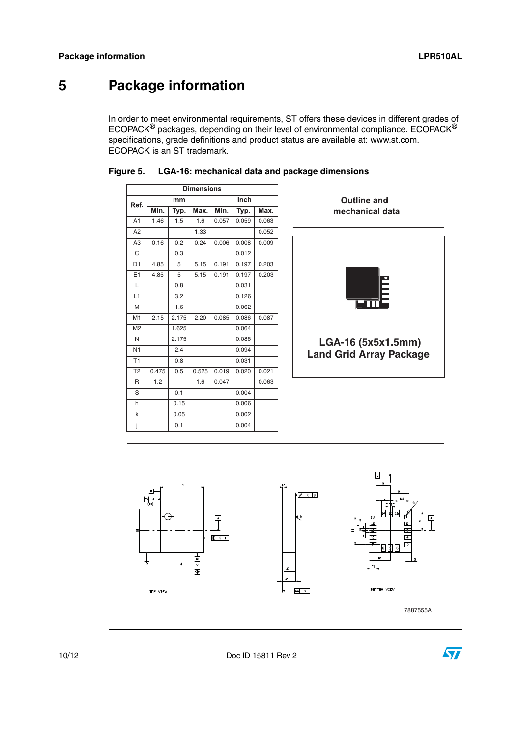# <span id="page-9-0"></span>**5 Package information**

In order to meet environmental requirements, ST offers these devices in different grades of ECOPACK® packages, depending on their level of environmental compliance. ECOPACK® specifications, grade definitions and product status are available at: www.st.com. ECOPACK is an ST trademark.





10/12 Doc ID 15811 Rev 2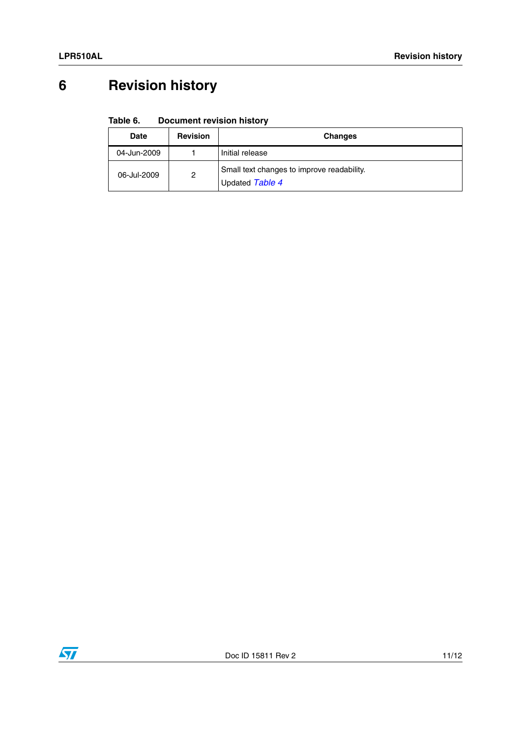# <span id="page-10-0"></span>**6 Revision history**

#### Table 6. **Document revision history**

| <b>Date</b> | <b>Revision</b> | <b>Changes</b>                                                |
|-------------|-----------------|---------------------------------------------------------------|
| 04-Jun-2009 |                 | Initial release                                               |
| 06-Jul-2009 | 2               | Small text changes to improve readability.<br>Updated Table 4 |